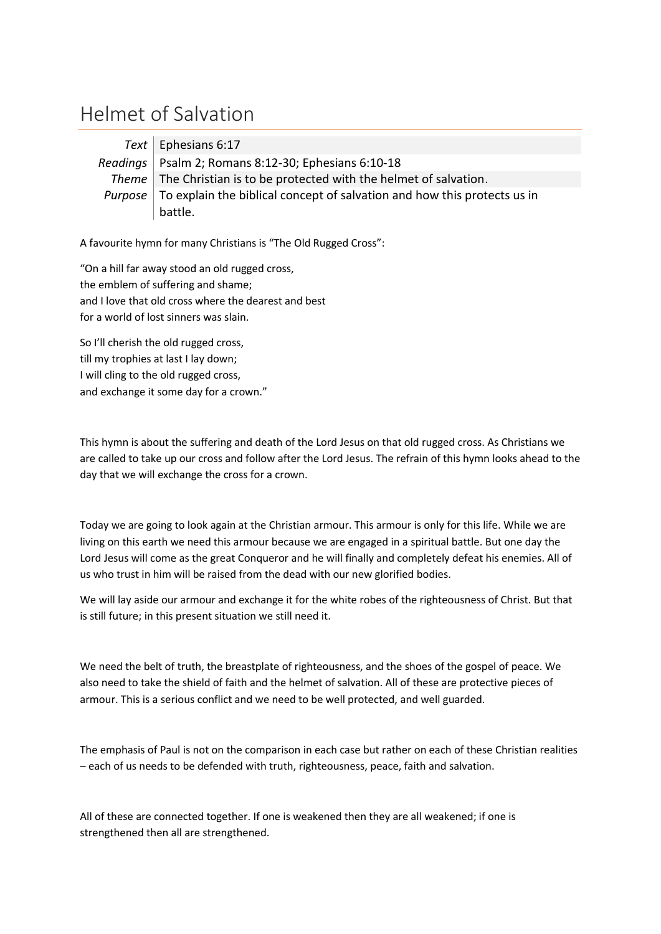## Helmet of Salvation

| Text   Ephesians 6:17                                                                           |
|-------------------------------------------------------------------------------------------------|
| Readings   Psalm 2; Romans 8:12-30; Ephesians 6:10-18                                           |
| Theme   The Christian is to be protected with the helmet of salvation.                          |
| <i>Purpose</i> $\vert$ To explain the biblical concept of salvation and how this protects us in |
| battle.                                                                                         |

A favourite hymn for many Christians is "The Old Rugged Cross":

"On a hill far away stood an old rugged cross, the emblem of suffering and shame; and I love that old cross where the dearest and best for a world of lost sinners was slain.

So I'll cherish the old rugged cross, till my trophies at last I lay down; I will cling to the old rugged cross, and exchange it some day for a crown."

This hymn is about the suffering and death of the Lord Jesus on that old rugged cross. As Christians we are called to take up our cross and follow after the Lord Jesus. The refrain of this hymn looks ahead to the day that we will exchange the cross for a crown.

Today we are going to look again at the Christian armour. This armour is only for this life. While we are living on this earth we need this armour because we are engaged in a spiritual battle. But one day the Lord Jesus will come as the great Conqueror and he will finally and completely defeat his enemies. All of us who trust in him will be raised from the dead with our new glorified bodies.

We will lay aside our armour and exchange it for the white robes of the righteousness of Christ. But that is still future; in this present situation we still need it.

We need the belt of truth, the breastplate of righteousness, and the shoes of the gospel of peace. We also need to take the shield of faith and the helmet of salvation. All of these are protective pieces of armour. This is a serious conflict and we need to be well protected, and well guarded.

The emphasis of Paul is not on the comparison in each case but rather on each of these Christian realities – each of us needs to be defended with truth, righteousness, peace, faith and salvation.

All of these are connected together. If one is weakened then they are all weakened; if one is strengthened then all are strengthened.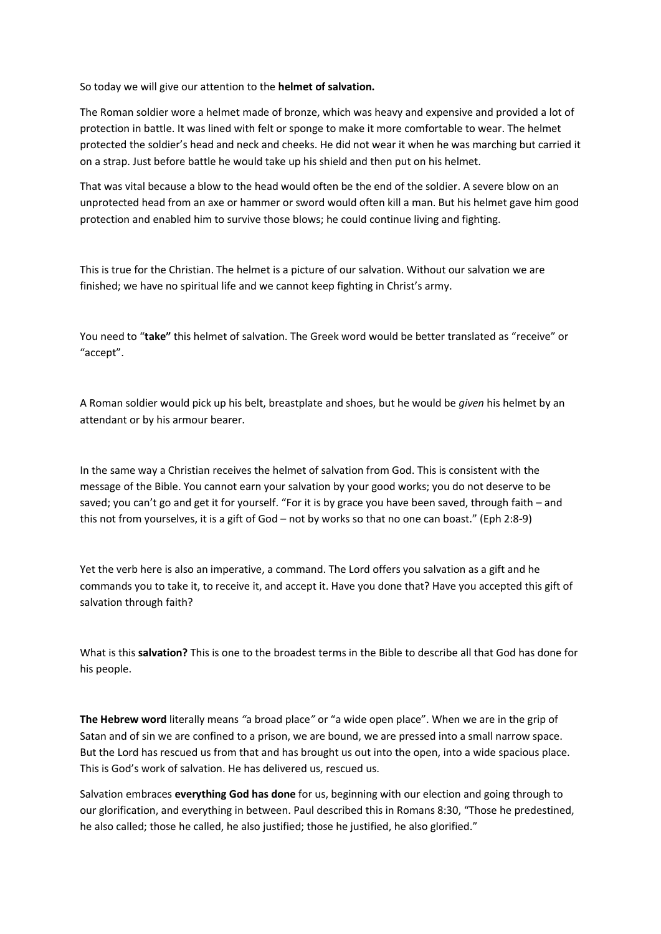So today we will give our attention to the **helmet of salvation.**

The Roman soldier wore a helmet made of bronze, which was heavy and expensive and provided a lot of protection in battle. It was lined with felt or sponge to make it more comfortable to wear. The helmet protected the soldier's head and neck and cheeks. He did not wear it when he was marching but carried it on a strap. Just before battle he would take up his shield and then put on his helmet.

That was vital because a blow to the head would often be the end of the soldier. A severe blow on an unprotected head from an axe or hammer or sword would often kill a man. But his helmet gave him good protection and enabled him to survive those blows; he could continue living and fighting.

This is true for the Christian. The helmet is a picture of our salvation. Without our salvation we are finished; we have no spiritual life and we cannot keep fighting in Christ's army.

You need to "**take"** this helmet of salvation. The Greek word would be better translated as "receive" or "accept".

A Roman soldier would pick up his belt, breastplate and shoes, but he would be *given* his helmet by an attendant or by his armour bearer.

In the same way a Christian receives the helmet of salvation from God. This is consistent with the message of the Bible. You cannot earn your salvation by your good works; you do not deserve to be saved; you can't go and get it for yourself. "For it is by grace you have been saved, through faith – and this not from yourselves, it is a gift of God – not by works so that no one can boast." (Eph 2:8-9)

Yet the verb here is also an imperative, a command. The Lord offers you salvation as a gift and he commands you to take it, to receive it, and accept it. Have you done that? Have you accepted this gift of salvation through faith?

What is this **salvation?** This is one to the broadest terms in the Bible to describe all that God has done for his people.

**The Hebrew word** literally means *"*a broad place*"* or "a wide open place". When we are in the grip of Satan and of sin we are confined to a prison, we are bound, we are pressed into a small narrow space. But the Lord has rescued us from that and has brought us out into the open, into a wide spacious place. This is God's work of salvation. He has delivered us, rescued us.

Salvation embraces **everything God has done** for us, beginning with our election and going through to our glorification, and everything in between. Paul described this in Romans 8:30, "Those he predestined, he also called; those he called, he also justified; those he justified, he also glorified."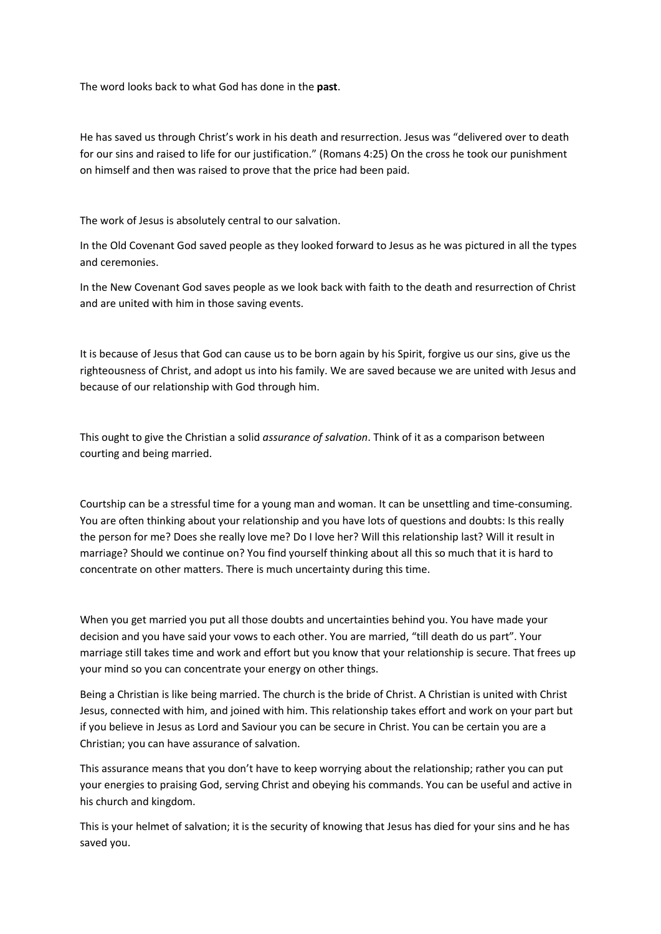The word looks back to what God has done in the **past**.

He has saved us through Christ's work in his death and resurrection. Jesus was "delivered over to death for our sins and raised to life for our justification." (Romans 4:25) On the cross he took our punishment on himself and then was raised to prove that the price had been paid.

The work of Jesus is absolutely central to our salvation.

In the Old Covenant God saved people as they looked forward to Jesus as he was pictured in all the types and ceremonies.

In the New Covenant God saves people as we look back with faith to the death and resurrection of Christ and are united with him in those saving events.

It is because of Jesus that God can cause us to be born again by his Spirit, forgive us our sins, give us the righteousness of Christ, and adopt us into his family. We are saved because we are united with Jesus and because of our relationship with God through him.

This ought to give the Christian a solid *assurance of salvation*. Think of it as a comparison between courting and being married.

Courtship can be a stressful time for a young man and woman. It can be unsettling and time-consuming. You are often thinking about your relationship and you have lots of questions and doubts: Is this really the person for me? Does she really love me? Do I love her? Will this relationship last? Will it result in marriage? Should we continue on? You find yourself thinking about all this so much that it is hard to concentrate on other matters. There is much uncertainty during this time.

When you get married you put all those doubts and uncertainties behind you. You have made your decision and you have said your vows to each other. You are married, "till death do us part". Your marriage still takes time and work and effort but you know that your relationship is secure. That frees up your mind so you can concentrate your energy on other things.

Being a Christian is like being married. The church is the bride of Christ. A Christian is united with Christ Jesus, connected with him, and joined with him. This relationship takes effort and work on your part but if you believe in Jesus as Lord and Saviour you can be secure in Christ. You can be certain you are a Christian; you can have assurance of salvation.

This assurance means that you don't have to keep worrying about the relationship; rather you can put your energies to praising God, serving Christ and obeying his commands. You can be useful and active in his church and kingdom.

This is your helmet of salvation; it is the security of knowing that Jesus has died for your sins and he has saved you.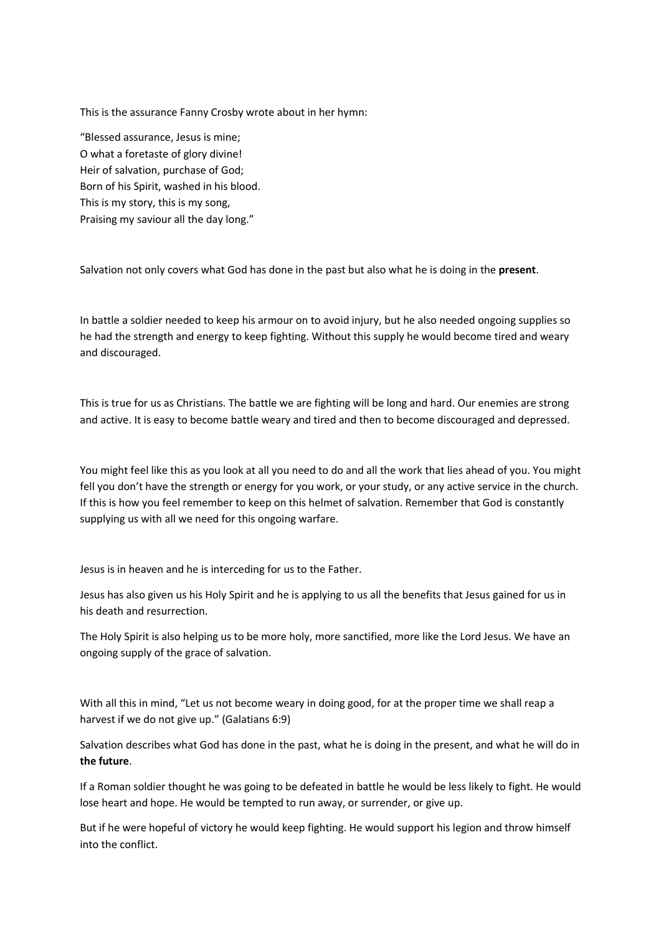This is the assurance Fanny Crosby wrote about in her hymn:

"Blessed assurance, Jesus is mine; O what a foretaste of glory divine! Heir of salvation, purchase of God; Born of his Spirit, washed in his blood. This is my story, this is my song, Praising my saviour all the day long."

Salvation not only covers what God has done in the past but also what he is doing in the **present**.

In battle a soldier needed to keep his armour on to avoid injury, but he also needed ongoing supplies so he had the strength and energy to keep fighting. Without this supply he would become tired and weary and discouraged.

This is true for us as Christians. The battle we are fighting will be long and hard. Our enemies are strong and active. It is easy to become battle weary and tired and then to become discouraged and depressed.

You might feel like this as you look at all you need to do and all the work that lies ahead of you. You might fell you don't have the strength or energy for you work, or your study, or any active service in the church. If this is how you feel remember to keep on this helmet of salvation. Remember that God is constantly supplying us with all we need for this ongoing warfare.

Jesus is in heaven and he is interceding for us to the Father.

Jesus has also given us his Holy Spirit and he is applying to us all the benefits that Jesus gained for us in his death and resurrection.

The Holy Spirit is also helping us to be more holy, more sanctified, more like the Lord Jesus. We have an ongoing supply of the grace of salvation.

With all this in mind, "Let us not become weary in doing good, for at the proper time we shall reap a harvest if we do not give up." (Galatians 6:9)

Salvation describes what God has done in the past, what he is doing in the present, and what he will do in **the future**.

If a Roman soldier thought he was going to be defeated in battle he would be less likely to fight. He would lose heart and hope. He would be tempted to run away, or surrender, or give up.

But if he were hopeful of victory he would keep fighting. He would support his legion and throw himself into the conflict.